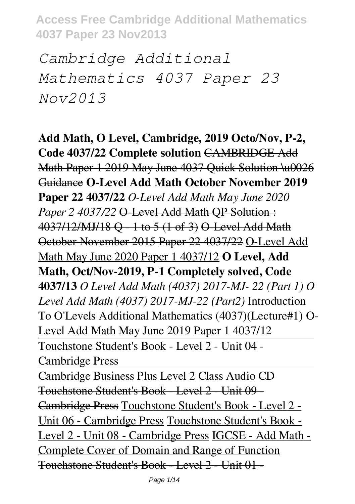*Cambridge Additional Mathematics 4037 Paper 23 Nov2013*

**Add Math, O Level, Cambridge, 2019 Octo/Nov, P-2, Code 4037/22 Complete solution** CAMBRIDGE Add Math Paper 1 2019 May June 4037 Ouick Solution \u0026 Guidance **O-Level Add Math October November 2019 Paper 22 4037/22** *O-Level Add Math May June 2020 Paper 2 4037/22* **O-Level Add Math QP Solution:** 4037/12/MJ/18 Q - 1 to 5 (1 of 3) O-Level Add Math October November 2015 Paper 22 4037/22 O-Level Add Math May June 2020 Paper 1 4037/12 **O Level, Add Math, Oct/Nov-2019, P-1 Completely solved, Code 4037/13** *O Level Add Math (4037) 2017-MJ- 22 (Part 1) O Level Add Math (4037) 2017-MJ-22 (Part2)* Introduction To O'Levels Additional Mathematics (4037)(Lecture#1) O-Level Add Math May June 2019 Paper 1 4037/12 Touchstone Student's Book - Level 2 - Unit 04 - Cambridge Press

Cambridge Business Plus Level 2 Class Audio CD Touchstone Student's Book - Level 2 - Unit 09 - Cambridge Press Touchstone Student's Book - Level 2 - Unit 06 - Cambridge Press Touchstone Student's Book - Level 2 - Unit 08 - Cambridge Press IGCSE - Add Math - Complete Cover of Domain and Range of Function Touchstone Student's Book - Level 2 - Unit 01 -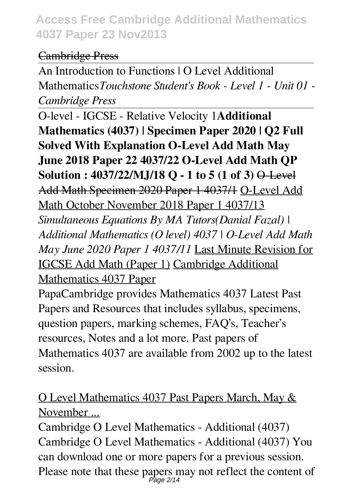### Cambridge Press

An Introduction to Functions | O Level Additional Mathematics*Touchstone Student's Book - Level 1 - Unit 01 - Cambridge Press*

O-level - IGCSE - Relative Velocity 1**Additional Mathematics (4037) | Specimen Paper 2020 | Q2 Full Solved With Explanation O-Level Add Math May June 2018 Paper 22 4037/22 O-Level Add Math QP Solution : 4037/22/MJ/18 Q - 1 to 5 (1 of 3)** O-Level Add Math Specimen 2020 Paper 1 4037/1 O-Level Add Math October November 2018 Paper 1 4037/13 *Simultaneous Equations By MA Tutors(Danial Fazal) | Additional Mathematics (O level) 4037 | O-Level Add Math May June 2020 Paper 1 4037/11* Last Minute Revision for IGCSE Add Math (Paper 1) Cambridge Additional Mathematics 4037 Paper

PapaCambridge provides Mathematics 4037 Latest Past Papers and Resources that includes syllabus, specimens, question papers, marking schemes, FAQ's, Teacher's resources, Notes and a lot more. Past papers of Mathematics 4037 are available from 2002 up to the latest session.

## O Level Mathematics 4037 Past Papers March, May & November ...

Cambridge O Level Mathematics - Additional (4037) Cambridge O Level Mathematics - Additional (4037) You can download one or more papers for a previous session. Please note that these papers may not reflect the content of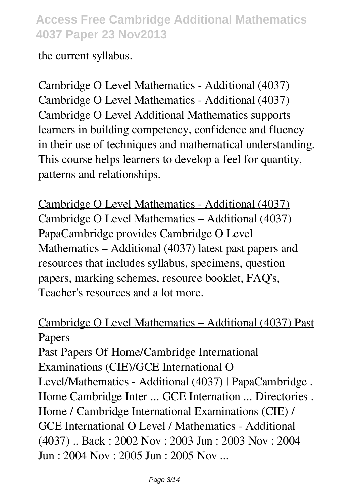the current syllabus.

Cambridge O Level Mathematics - Additional (4037) Cambridge O Level Mathematics - Additional (4037) Cambridge O Level Additional Mathematics supports learners in building competency, confidence and fluency in their use of techniques and mathematical understanding. This course helps learners to develop a feel for quantity, patterns and relationships.

Cambridge O Level Mathematics - Additional (4037) Cambridge O Level Mathematics – Additional (4037) PapaCambridge provides Cambridge O Level Mathematics – Additional (4037) latest past papers and resources that includes syllabus, specimens, question papers, marking schemes, resource booklet, FAQ's, Teacher's resources and a lot more.

### Cambridge O Level Mathematics – Additional (4037) Past **Papers**

Past Papers Of Home/Cambridge International Examinations (CIE)/GCE International O Level/Mathematics - Additional (4037) | PapaCambridge . Home Cambridge Inter ... GCE Internation ... Directories . Home / Cambridge International Examinations (CIE) / GCE International O Level / Mathematics - Additional (4037) .. Back : 2002 Nov : 2003 Jun : 2003 Nov : 2004 Jun : 2004 Nov : 2005 Jun : 2005 Nov ...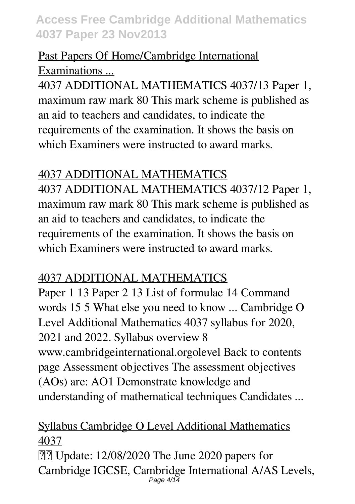### Past Papers Of Home/Cambridge International Examinations ...

4037 ADDITIONAL MATHEMATICS 4037/13 Paper 1, maximum raw mark 80 This mark scheme is published as an aid to teachers and candidates, to indicate the requirements of the examination. It shows the basis on which Examiners were instructed to award marks.

### 4037 ADDITIONAL MATHEMATICS

4037 ADDITIONAL MATHEMATICS 4037/12 Paper 1, maximum raw mark 80 This mark scheme is published as an aid to teachers and candidates, to indicate the requirements of the examination. It shows the basis on which Examiners were instructed to award marks.

## 4037 ADDITIONAL MATHEMATICS

Paper 1 13 Paper 2 13 List of formulae 14 Command words 15 5 What else you need to know ... Cambridge O Level Additional Mathematics 4037 syllabus for 2020, 2021 and 2022. Syllabus overview 8 www.cambridgeinternational.orgolevel Back to contents page Assessment objectives The assessment objectives (AOs) are: AO1 Demonstrate knowledge and understanding of mathematical techniques Candidates ...

### Syllabus Cambridge O Level Additional Mathematics 4037

**[2]** Update: 12/08/2020 The June 2020 papers for Cambridge IGCSE, Cambridge International A/AS Levels, Page  $4/14$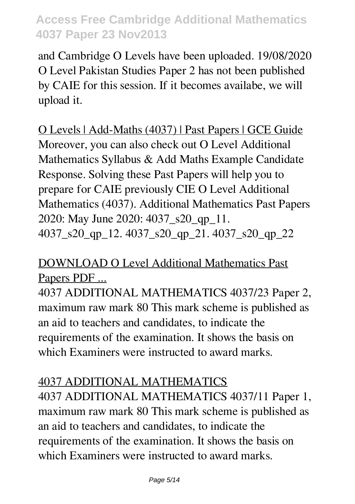and Cambridge O Levels have been uploaded. 19/08/2020 O Level Pakistan Studies Paper 2 has not been published by CAIE for this session. If it becomes availabe, we will upload it.

O Levels | Add-Maths (4037) | Past Papers | GCE Guide Moreover, you can also check out O Level Additional Mathematics Syllabus & Add Maths Example Candidate Response. Solving these Past Papers will help you to prepare for CAIE previously CIE O Level Additional Mathematics (4037). Additional Mathematics Past Papers 2020: May June 2020: 4037\_s20\_qp\_11. 4037\_s20\_qp\_12. 4037\_s20\_qp\_21. 4037\_s20\_qp\_22

### DOWNLOAD O Level Additional Mathematics Past Papers PDF ...

4037 ADDITIONAL MATHEMATICS 4037/23 Paper 2, maximum raw mark 80 This mark scheme is published as an aid to teachers and candidates, to indicate the requirements of the examination. It shows the basis on which Examiners were instructed to award marks.

## 4037 ADDITIONAL MATHEMATICS

4037 ADDITIONAL MATHEMATICS 4037/11 Paper 1, maximum raw mark 80 This mark scheme is published as an aid to teachers and candidates, to indicate the requirements of the examination. It shows the basis on which Examiners were instructed to award marks.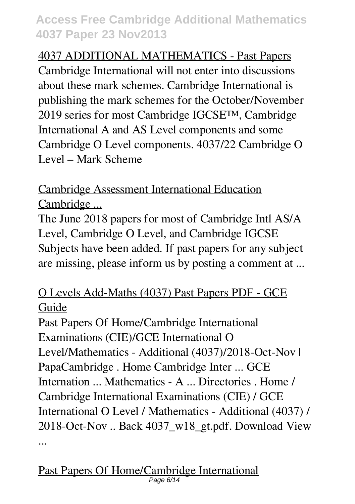4037 ADDITIONAL MATHEMATICS - Past Papers Cambridge International will not enter into discussions about these mark schemes. Cambridge International is publishing the mark schemes for the October/November 2019 series for most Cambridge IGCSE™, Cambridge International A and AS Level components and some Cambridge O Level components. 4037/22 Cambridge O Level – Mark Scheme

Cambridge Assessment International Education Cambridge ...

The June 2018 papers for most of Cambridge Intl AS/A Level, Cambridge O Level, and Cambridge IGCSE Subjects have been added. If past papers for any subject are missing, please inform us by posting a comment at ...

## O Levels Add-Maths (4037) Past Papers PDF - GCE Guide

Past Papers Of Home/Cambridge International Examinations (CIE)/GCE International O Level/Mathematics - Additional (4037)/2018-Oct-Nov | PapaCambridge . Home Cambridge Inter ... GCE Internation ... Mathematics - A ... Directories . Home / Cambridge International Examinations (CIE) / GCE International O Level / Mathematics - Additional (4037) / 2018-Oct-Nov .. Back 4037\_w18\_gt.pdf. Download View ...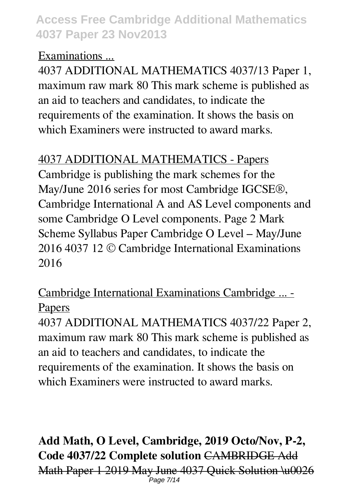### Examinations ...

4037 ADDITIONAL MATHEMATICS 4037/13 Paper 1, maximum raw mark 80 This mark scheme is published as an aid to teachers and candidates, to indicate the requirements of the examination. It shows the basis on which Examiners were instructed to award marks.

### 4037 ADDITIONAL MATHEMATICS - Papers

Cambridge is publishing the mark schemes for the May/June 2016 series for most Cambridge IGCSE®, Cambridge International A and AS Level components and some Cambridge O Level components. Page 2 Mark Scheme Syllabus Paper Cambridge O Level – May/June 2016 4037 12 © Cambridge International Examinations 2016

## Cambridge International Examinations Cambridge ... - Papers

4037 ADDITIONAL MATHEMATICS 4037/22 Paper 2, maximum raw mark 80 This mark scheme is published as an aid to teachers and candidates, to indicate the requirements of the examination. It shows the basis on which Examiners were instructed to award marks.

### **Add Math, O Level, Cambridge, 2019 Octo/Nov, P-2, Code 4037/22 Complete solution** CAMBRIDGE Add Math Paper 1 2019 May June 4037 Quick Solution \u0026 Page 7/14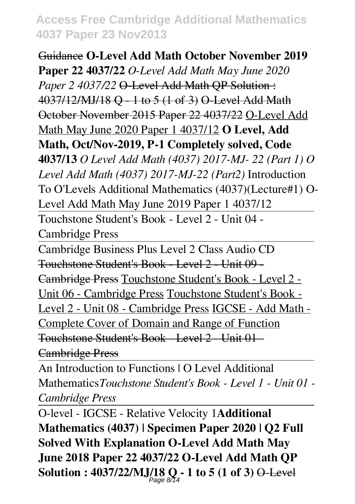Guidance **O-Level Add Math October November 2019 Paper 22 4037/22** *O-Level Add Math May June 2020* Paper 2 4037/22  $\Theta$ -Level Add Math QP Solution: 4037/12/MJ/18 Q - 1 to 5 (1 of 3) O-Level Add Math October November 2015 Paper 22 4037/22 O-Level Add Math May June 2020 Paper 1 4037/12 **O Level, Add Math, Oct/Nov-2019, P-1 Completely solved, Code 4037/13** *O Level Add Math (4037) 2017-MJ- 22 (Part 1) O Level Add Math (4037) 2017-MJ-22 (Part2)* Introduction To O'Levels Additional Mathematics (4037)(Lecture#1) O-Level Add Math May June 2019 Paper 1 4037/12 Touchstone Student's Book - Level 2 - Unit 04 -

Cambridge Press

Cambridge Business Plus Level 2 Class Audio CD Touchstone Student's Book - Level 2 - Unit 09 -

Cambridge Press Touchstone Student's Book - Level 2 -

Unit 06 - Cambridge Press Touchstone Student's Book -

Level 2 - Unit 08 - Cambridge Press IGCSE - Add Math -

Complete Cover of Domain and Range of Function

Touchstone Student's Book - Level 2 - Unit 01 -

Cambridge Press

An Introduction to Functions | O Level Additional Mathematics*Touchstone Student's Book - Level 1 - Unit 01 - Cambridge Press*

O-level - IGCSE - Relative Velocity 1**Additional Mathematics (4037) | Specimen Paper 2020 | Q2 Full Solved With Explanation O-Level Add Math May June 2018 Paper 22 4037/22 O-Level Add Math QP Solution : 4037/22/MJ/18 Q - 1 to 5 (1 of 3)** O-Level Page 8/14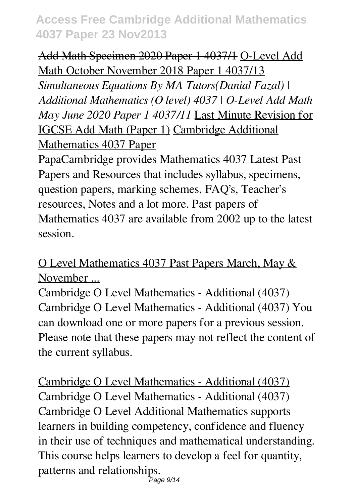### Add Math Specimen 2020 Paper 1 4037/1 O-Level Add Math October November 2018 Paper 1 4037/13

*Simultaneous Equations By MA Tutors(Danial Fazal) | Additional Mathematics (O level) 4037 | O-Level Add Math May June 2020 Paper 1 4037/11* Last Minute Revision for IGCSE Add Math (Paper 1) Cambridge Additional Mathematics 4037 Paper

PapaCambridge provides Mathematics 4037 Latest Past Papers and Resources that includes syllabus, specimens, question papers, marking schemes, FAQ's, Teacher's resources, Notes and a lot more. Past papers of Mathematics 4037 are available from 2002 up to the latest session.

### O Level Mathematics 4037 Past Papers March, May & November ...

Cambridge O Level Mathematics - Additional (4037) Cambridge O Level Mathematics - Additional (4037) You can download one or more papers for a previous session. Please note that these papers may not reflect the content of the current syllabus.

Cambridge O Level Mathematics - Additional (4037) Cambridge O Level Mathematics - Additional (4037) Cambridge O Level Additional Mathematics supports learners in building competency, confidence and fluency in their use of techniques and mathematical understanding. This course helps learners to develop a feel for quantity, patterns and relationships.  $P$ age 9/14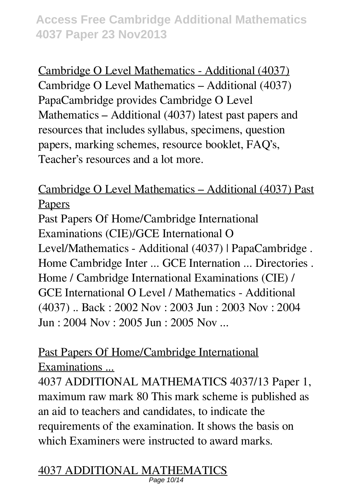Cambridge O Level Mathematics - Additional (4037) Cambridge O Level Mathematics – Additional (4037) PapaCambridge provides Cambridge O Level Mathematics – Additional (4037) latest past papers and resources that includes syllabus, specimens, question papers, marking schemes, resource booklet, FAQ's, Teacher's resources and a lot more.

Cambridge O Level Mathematics – Additional (4037) Past Papers

Past Papers Of Home/Cambridge International Examinations (CIE)/GCE International O Level/Mathematics - Additional (4037) | PapaCambridge . Home Cambridge Inter ... GCE Internation ... Directories . Home / Cambridge International Examinations (CIE) / GCE International O Level / Mathematics - Additional (4037) .. Back : 2002 Nov : 2003 Jun : 2003 Nov : 2004 Jun : 2004 Nov : 2005 Jun : 2005 Nov ...

Past Papers Of Home/Cambridge International Examinations ...

4037 ADDITIONAL MATHEMATICS 4037/13 Paper 1, maximum raw mark 80 This mark scheme is published as an aid to teachers and candidates, to indicate the requirements of the examination. It shows the basis on which Examiners were instructed to award marks.

4037 ADDITIONAL MATHEMATICS Page 10/14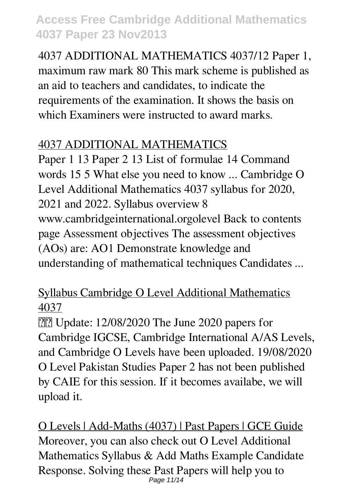4037 ADDITIONAL MATHEMATICS 4037/12 Paper 1, maximum raw mark 80 This mark scheme is published as an aid to teachers and candidates, to indicate the requirements of the examination. It shows the basis on which Examiners were instructed to award marks.

### 4037 ADDITIONAL MATHEMATICS

Paper 1 13 Paper 2 13 List of formulae 14 Command words 15 5 What else you need to know ... Cambridge O Level Additional Mathematics 4037 syllabus for 2020, 2021 and 2022. Syllabus overview 8 www.cambridgeinternational.orgolevel Back to contents page Assessment objectives The assessment objectives (AOs) are: AO1 Demonstrate knowledge and understanding of mathematical techniques Candidates ...

## Syllabus Cambridge O Level Additional Mathematics 4037

**[2]** Update: 12/08/2020 The June 2020 papers for Cambridge IGCSE, Cambridge International A/AS Levels, and Cambridge O Levels have been uploaded. 19/08/2020 O Level Pakistan Studies Paper 2 has not been published by CAIE for this session. If it becomes availabe, we will upload it.

O Levels | Add-Maths (4037) | Past Papers | GCE Guide Moreover, you can also check out O Level Additional Mathematics Syllabus & Add Maths Example Candidate Response. Solving these Past Papers will help you to Page 11/14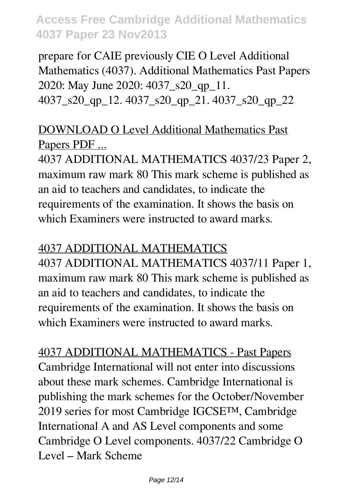prepare for CAIE previously CIE O Level Additional Mathematics (4037). Additional Mathematics Past Papers 2020: May June 2020: 4037\_s20\_qp\_11. 4037\_s20\_qp\_12. 4037\_s20\_qp\_21. 4037\_s20\_qp\_22

### DOWNLOAD O Level Additional Mathematics Past Papers PDF ...

4037 ADDITIONAL MATHEMATICS 4037/23 Paper 2, maximum raw mark 80 This mark scheme is published as an aid to teachers and candidates, to indicate the requirements of the examination. It shows the basis on which Examiners were instructed to award marks.

### 4037 ADDITIONAL MATHEMATICS

4037 ADDITIONAL MATHEMATICS 4037/11 Paper 1, maximum raw mark 80 This mark scheme is published as an aid to teachers and candidates, to indicate the requirements of the examination. It shows the basis on which Examiners were instructed to award marks.

4037 ADDITIONAL MATHEMATICS - Past Papers Cambridge International will not enter into discussions about these mark schemes. Cambridge International is publishing the mark schemes for the October/November 2019 series for most Cambridge IGCSE™, Cambridge International A and AS Level components and some Cambridge O Level components. 4037/22 Cambridge O Level – Mark Scheme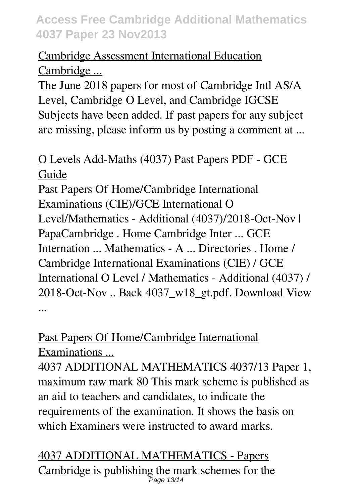## Cambridge Assessment International Education Cambridge ...

The June 2018 papers for most of Cambridge Intl AS/A Level, Cambridge O Level, and Cambridge IGCSE Subjects have been added. If past papers for any subject are missing, please inform us by posting a comment at ...

### O Levels Add-Maths (4037) Past Papers PDF - GCE Guide

Past Papers Of Home/Cambridge International Examinations (CIE)/GCE International O Level/Mathematics - Additional (4037)/2018-Oct-Nov | PapaCambridge . Home Cambridge Inter ... GCE Internation ... Mathematics - A ... Directories . Home / Cambridge International Examinations (CIE) / GCE International O Level / Mathematics - Additional (4037) / 2018-Oct-Nov .. Back 4037\_w18\_gt.pdf. Download View ...

## Past Papers Of Home/Cambridge International Examinations ...

4037 ADDITIONAL MATHEMATICS 4037/13 Paper 1, maximum raw mark 80 This mark scheme is published as an aid to teachers and candidates, to indicate the requirements of the examination. It shows the basis on which Examiners were instructed to award marks.

#### 4037 ADDITIONAL MATHEMATICS - Papers Cambridge is publishing the mark schemes for the Page 13/14